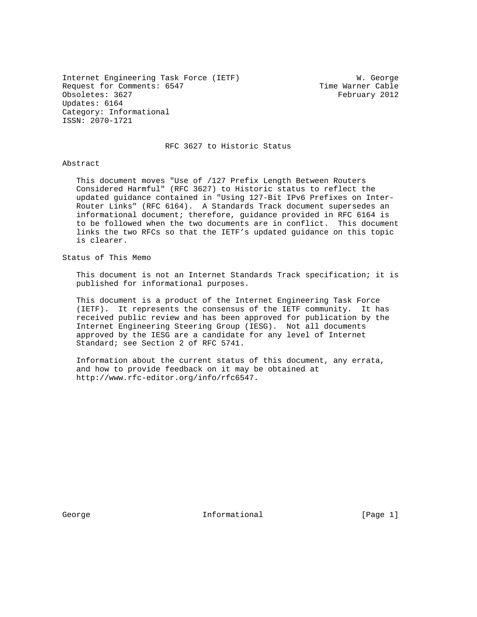Internet Engineering Task Force (IETF) W. George Request for Comments: 6547 Time Warner Cable Obsoletes: 3627 February 2012 Updates: 6164 Category: Informational ISSN: 2070-1721

RFC 3627 to Historic Status

## Abstract

 This document moves "Use of /127 Prefix Length Between Routers Considered Harmful" (RFC 3627) to Historic status to reflect the updated guidance contained in "Using 127-Bit IPv6 Prefixes on Inter- Router Links" (RFC 6164). A Standards Track document supersedes an informational document; therefore, guidance provided in RFC 6164 is to be followed when the two documents are in conflict. This document links the two RFCs so that the IETF's updated guidance on this topic is clearer.

Status of This Memo

 This document is not an Internet Standards Track specification; it is published for informational purposes.

 This document is a product of the Internet Engineering Task Force (IETF). It represents the consensus of the IETF community. It has received public review and has been approved for publication by the Internet Engineering Steering Group (IESG). Not all documents approved by the IESG are a candidate for any level of Internet Standard; see Section 2 of RFC 5741.

 Information about the current status of this document, any errata, and how to provide feedback on it may be obtained at http://www.rfc-editor.org/info/rfc6547.

George **Informational Informational** [Page 1]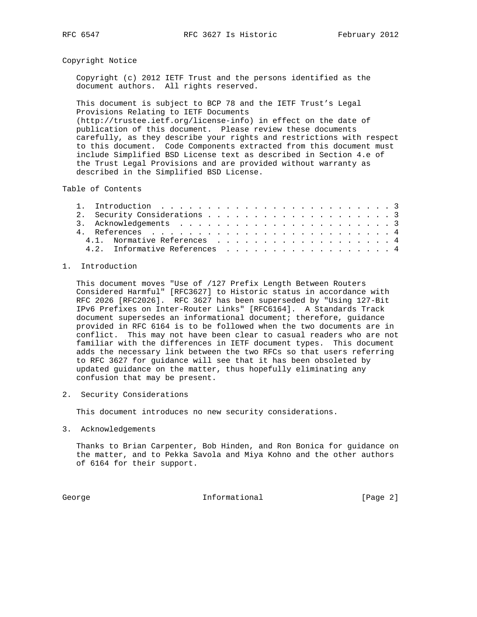## Copyright Notice

 Copyright (c) 2012 IETF Trust and the persons identified as the document authors. All rights reserved.

 This document is subject to BCP 78 and the IETF Trust's Legal Provisions Relating to IETF Documents (http://trustee.ietf.org/license-info) in effect on the date of publication of this document. Please review these documents carefully, as they describe your rights and restrictions with respect to this document. Code Components extracted from this document must include Simplified BSD License text as described in Section 4.e of the Trust Legal Provisions and are provided without warranty as described in the Simplified BSD License.

Table of Contents

|  |  | 4.1. Normative References 4   |  |  |  |  |  |  |  |  |  |  |  |  |  |  |  |  |  |  |
|--|--|-------------------------------|--|--|--|--|--|--|--|--|--|--|--|--|--|--|--|--|--|--|
|  |  | 4.2. Informative References 4 |  |  |  |  |  |  |  |  |  |  |  |  |  |  |  |  |  |  |

## 1. Introduction

 This document moves "Use of /127 Prefix Length Between Routers Considered Harmful" [RFC3627] to Historic status in accordance with RFC 2026 [RFC2026]. RFC 3627 has been superseded by "Using 127-Bit IPv6 Prefixes on Inter-Router Links" [RFC6164]. A Standards Track document supersedes an informational document; therefore, guidance provided in RFC 6164 is to be followed when the two documents are in conflict. This may not have been clear to casual readers who are not familiar with the differences in IETF document types. This document adds the necessary link between the two RFCs so that users referring to RFC 3627 for guidance will see that it has been obsoleted by updated guidance on the matter, thus hopefully eliminating any confusion that may be present.

2. Security Considerations

This document introduces no new security considerations.

3. Acknowledgements

 Thanks to Brian Carpenter, Bob Hinden, and Ron Bonica for guidance on the matter, and to Pekka Savola and Miya Kohno and the other authors of 6164 for their support.

George **Informational Informational** [Page 2]